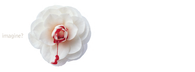# imagine?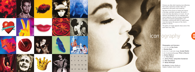



Pictures can often distil meaning more effectively than words, expressing complex ideas and propositions with great visual simplicity. We think of this process as finding the essence of the idea, and when successful, the result is much more than descriptive, it is iconic. Our art directors and designers are all imagineers and visual magicians, and we've always championed the work of Australian photographers and illustrators, working with them to create unique icons that express the essence of the client's product or service.

The gallery of images opposite shows some of the work done since 1995.

## icon ography

E

**Photographers and illustrators:** 1, 3, 9, 14, 18: **Ray Clarke** 2: **Brendan Read**  4, 10, 13, 17 and main image: **Annabel Moeller** 5, 8, 12 and preceding page: **Philip Le Mesurier**  6: **Andrew Medhurst** 7, 11: **Kerry Wilson** 11: **Jeremy Parkes, styling Brett Chamberlain** 16: **Peter Brew-Bevan** 19: **Wendy McDougall** 

**Art directors:** Andrew Medhurst, Stephen Goddard, David Corbet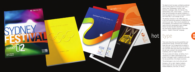

The death of print has been confidently predicted ever since the advent of moving pictures over a century ago. Photography, cinema, radio, television, audiotape, video, the internet, CDs, talking books, DVD, virtual reality … as each of these new technologies has gained acceptance, it becomes apparent that no communication medium ever really dies, it just changes its role.

The desktop revolution in the 1980s gave rise to the most astonishing explosion of publishing the world has ever seen. From church newsletters to encyclopædias, the traditional skills of typesetting, layout and print reprographics were changed forever by what has been described as the most perfect software solution of the 20th century – Adobe's Postscript® language.



There were those that saw the possibilities and embraced the change, and those who resisted; those who saw it as an opportunity to explore a new language, and those who saw it as merely a tool. And then there were those who thought that the old rules, evolved in the centuries since Gutenberg, were no longer relevant.

The key to great print design, we believe, lies in combining an in-depth understanding of the printer's and paper maker's traditional skills with the new possibilities of the digital revolution.

The printed page is very much alive and well.

Designers, left to right: Stephen Goddard, David Corbet with Ken and Camilla Done, Andrew Medhurst, Elon Dell, El Perkin.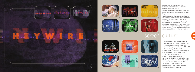



5







As internet bandwidth widens, and DVD technology gains acceptance, a new digital desktop revolution is going on.

We've always been dedicated to 'full-screen, fullmotion', whether that be for television, cinema or large outdoor events.

Ranging from screen identities, festival launches and corporate presentations to television program idents, titles and commercials, this is where motion picture footage, sound, graphic design and digital effects all come together. Variously described as broadcast design, titles design, effects design or motion graphics design, these projects involve in-house scripting, videography, non-linear editing, audio editing and online compositing.



1. Screen identity – ABC Heywire, 1999-2001 2. TV program titles – Losing Layla, ABC, 2001 3. Series titles design – Afrika, Cape Town to Cairo, Firelight Productions for ABC, 1999 4. Cinema identity – OutFM, 1999 5. Interactive CD – Ray Clarke Photography, 2001 6. Screen identity – SPAA Fringe, 1999 7. 30" TVC – Musica Viva, 1998 8-9. 30" TVCs, Olympic Arts, 2000 10. Screen identity, BMG Dance Machine, 2000 11. TV program titles – SG&L Mardi Gras, 1998 12. Screen identity – Advance Bank, 1996 13. 30" TVC – Opera Australia, 1997 Designers: David Corbet, Andrew Medhurst, Tim Richter, Morgan @ 12degrees















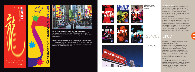





**Far left: Street banner for Chinese New Year Festival 2000** Our response to the millennial 'Year of the Dragon' for the City of Sydney was based on calligraphy by Sophie Arab, with art direction by Andrew Medhurst

**Left and above: City dressing for NSW Centenary of Federation 2001** The challenge of creating a celebratory feel for the Centenary Year was met by Andrew Medhurst with these fresh and vibrant street banners,<br>based on the Federation ribbon logo.



Dlympic Arts Festival







**JC Decaux street furniture campaign, week two.**

Dance, opera, music, theatre, exhibitions, film,<br>special events. Six weeks, over 100 events. Twelve months of lead up. A campaign including television, radio, cinema, magazines, press, outdoor, transit, direct mail, online, city dressing, venue signage, printed collateral – a truly massive undertaking.

Flogging the arts while the entire world was doing a song and dance about sport was no mean feat. This was a campaign that needed to streak through the streets and homes of a city caught in Olympic fever. And it did. Where previous Olympic festivals failed to attract and excite patrons, the Sydney 2000 Olympic Arts Festival packed a powerful punch, cutting through an overcrowded



marketplace to deliver a message that was as endearing as it was effective.

Outdoors, our task was to make the streets of Sydney come alive – using every flagpole from Circular Quay to Centennial Park, billboard supersites in the city and on the freeways, on buses and in railway stations, 400 JC Decaux sites in the CBD and an equal number in the suburbs, signage at all arts venues from theatres to galleries, including all sites at the Sydney Opera House.

The design team consisted of David Corbet, Andrew Medhurst, Elon Dell and Bryce Tuckwell. Copywriter was Sinead Roarty, and Project Manager was Olivia Schmid. Photography courtesy SOCOG/companies.



**Supersite, Kings Cross**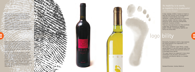The words 'brand' and 'branding' may be the most abused in the world of marketing and advertising. It's interesting that they originally meant unique marks burned into livestock to distinguish their ownership.

'Signs and symbols rule the world, not words, nor laws'

– Confucius

Nowadays, there are two common usages which superficially mean much the same thing, but imply a very different status: a brand (as in 'a brand of washing powder') and the Brand (as in 'building The OMO Brand'), which can refer to a product range, a corporation, a cause, a political

party or an individual (think of Madonna). The first is merely descriptive, the second implies a whole perceived value system based on the total 'positioning' through advertising, promotion, packaging, point of sale, and cultural ambience (ie associations with coolness, sporting prowess, transgression etc).

Our work, as visual communicators, is usually about the positioning of The Brand through design, imaging and product packaging, and we refer to this wholistic activity as Brand Identity, which is often, but not always, distinct from Corporate Identity. Very often the Brand is also a brand, as in Kelly Marque (right) and Logan Wines (far right), where the physical bottle on the shelf is the primary expression of the brand's visual identity.







A logo, logotype, emblem, marque or insignia is often the most common visual manifestation of corporate or brand identity, and as with individuals, a graphic personality can be boring, vivacious, austere, informal, serious, witty, whimsical, quirky, reassuring, distinguished, traditional, irreverent, brilliant … There are many benchmarks for what constitutes a good logo, and obviously its 'logobility' – graphic strength, recognisabilty, legibility and clarity are among these.

### logo bility

Personality, the degree to which a logo expresses the unique qualities of an organisation, is of equal importance.

The marque created for Logan Wines, a grapestained footprint, is also the corporate logo of the organisation, and the most prominent element of its packaged brand identity.

The Logan footprint has appeared in many colour combinations over the years, and remains a memorable and effective identity in a crowded marketplace.

Designer/Illustrator: Andrew Medhurst